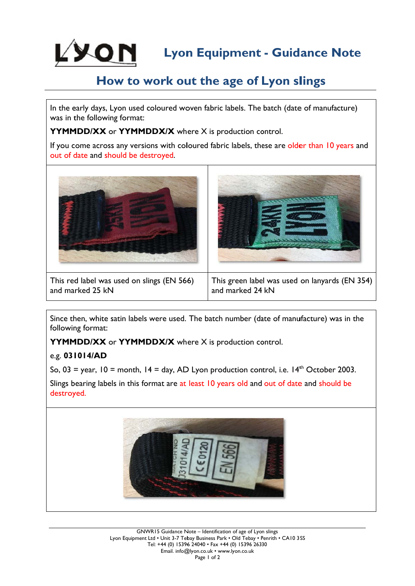

# How to work out the age of Lyon slings

In the early days, Lyon used coloured woven fabric labels. The batch (date of manufacture) was in the following format:

YYMMDD/XX or YYMMDDX/X where X is production control.

If you come across any versions with coloured fabric labels, these are older than 10 years and out of date and should be destroyed.



This red label was used on slings (EN 566) and marked 25 kN

This green label was used on lanyards (EN 354) and marked 24 kN

Since then, white satin labels were used. The batch number (date of manufacture) was in the following format:

YYMMDD/XX or YYMMDDX/X where X is production control.

# e.g. 031014/AD

So,  $03 =$  year,  $10 =$  month,  $14 =$  day, AD Lyon production control, i.e.  $14<sup>th</sup>$  October 2003.

Slings bearing labels in this format are at least 10 years old and out of date and should be destroyed.